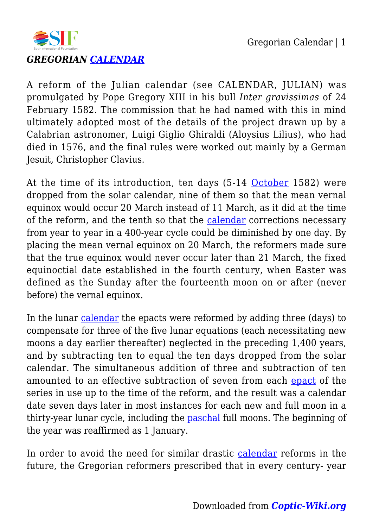



## *GREGORIAN [CALENDAR](https://coptic-wiki.org/tag/calendar)*

A reform of the Julian calendar (see CALENDAR, JULIAN) was promulgated by Pope Gregory XIII in his bull *Inter gravissimas* of 24 February 1582. The commission that he had named with this in mind ultimately adopted most of the details of the project drawn up by a Calabrian astronomer, Luigi Giglio Ghiraldi (Aloysius Lilius), who had died in 1576, and the final rules were worked out mainly by a German Jesuit, Christopher Clavius.

At the time of its introduction, ten days (5-14 [October](https://coptic-wiki.org/tag/october) 1582) were dropped from the solar calendar, nine of them so that the mean vernal equinox would occur 20 March instead of 11 March, as it did at the time of the reform, and the tenth so that the [calendar](https://coptic-wiki.org/tag/calendar) corrections necessary from year to year in a 400-year cycle could be diminished by one day. By placing the mean vernal equinox on 20 March, the reformers made sure that the true equinox would never occur later than 21 March, the fixed equinoctial date established in the fourth century, when Easter was defined as the Sunday after the fourteenth moon on or after (never before) the vernal equinox.

In the lunar [calendar](https://coptic-wiki.org/tag/calendar) the epacts were reformed by adding three (days) to compensate for three of the five lunar equations (each necessitating new moons a day earlier thereafter) neglected in the preceding 1,400 years, and by subtracting ten to equal the ten days dropped from the solar calendar. The simultaneous addition of three and subtraction of ten amounted to an effective subtraction of seven from each [epact](https://coptic-wiki.org/tag/epact) of the series in use up to the time of the reform, and the result was a calendar date seven days later in most instances for each new and full moon in a thirty-year lunar cycle, including the [paschal](https://coptic-wiki.org/tag/paschal) full moons. The beginning of the year was reaffirmed as 1 January.

In order to avoid the need for similar drastic [calendar](https://coptic-wiki.org/tag/calendar) reforms in the future, the Gregorian reformers prescribed that in every century- year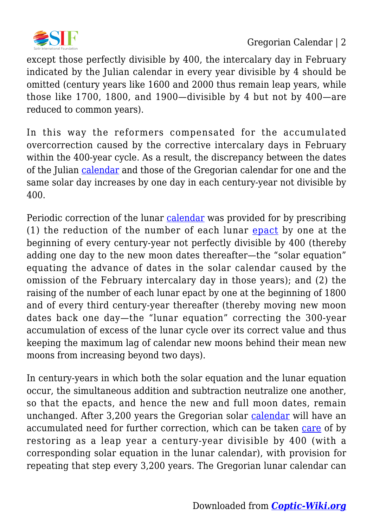

except those perfectly divisible by 400, the intercalary day in February indicated by the Julian calendar in every year divisible by 4 should be omitted (century years like 1600 and 2000 thus remain leap years, while those like 1700, 1800, and 1900—divisible by 4 but not by 400—are reduced to common years).

In this way the reformers compensated for the accumulated overcorrection caused by the corrective intercalary days in February within the 400-year cycle. As a result, the discrepancy between the dates of the Julian [calendar](https://coptic-wiki.org/tag/calendar) and those of the Gregorian calendar for one and the same solar day increases by one day in each century-year not divisible by 400.

Periodic correction of the lunar [calendar](https://coptic-wiki.org/tag/calendar) was provided for by prescribing (1) the reduction of the number of each lunar [epact](https://coptic-wiki.org/tag/epact) by one at the beginning of every century-year not perfectly divisible by 400 (thereby adding one day to the new moon dates thereafter—the "solar equation" equating the advance of dates in the solar calendar caused by the omission of the February intercalary day in those years); and (2) the raising of the number of each lunar epact by one at the beginning of 1800 and of every third century-year thereafter (thereby moving new moon dates back one day—the "lunar equation" correcting the 300-year accumulation of excess of the lunar cycle over its correct value and thus keeping the maximum lag of calendar new moons behind their mean new moons from increasing beyond two days).

In century-years in which both the solar equation and the lunar equation occur, the simultaneous addition and subtraction neutralize one another, so that the epacts, and hence the new and full moon dates, remain unchanged. After 3,200 years the Gregorian solar [calendar](https://coptic-wiki.org/tag/calendar) will have an accumulated need for further correction, which can be taken [care](https://coptic-wiki.org/tag/care) of by restoring as a leap year a century-year divisible by 400 (with a corresponding solar equation in the lunar calendar), with provision for repeating that step every 3,200 years. The Gregorian lunar calendar can